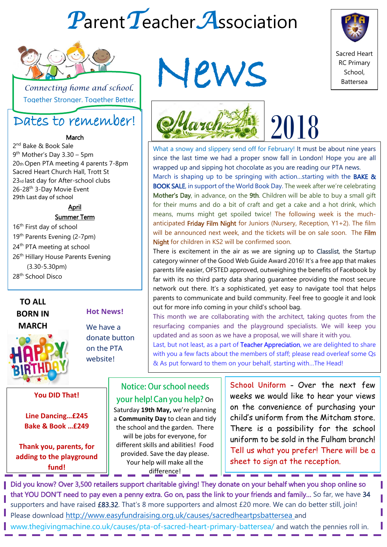# *P*arent*T*eacher*A*ssociation



 *Connecting home and school*. **Together Stronger. Together Better.** 

## Dates to remember!

#### March

2<sup>nd</sup> Bake & Book Sale 9 th Mother's Day 3.30 – 5pm 20th Open PTA meeting 4 parents 7-8pm Sacred Heart Church Hall, Trott St 23rd last day for After-school clubs 26-28th 3-Day Movie Event 29th Last day of school

April

#### Summer Term

16<sup>th</sup> First day of school 19<sup>th</sup> Parents Evening (2-7pm) 24<sup>th</sup> PTA meeting at school 26<sup>th</sup> Hillary House Parents Evening (3.30-5.30pm) 28<sup>th</sup> School Disco

#### **TO ALL BORN IN MARCH**



#### **You DID That!**

**Line Dancing…£245 Bake & Book …£249**

**Thank you, parents, for adding to the playground fund!**

# News





What a snowy and slippery send off for February! It must be about nine years since the last time we had a proper snow fall in London! Hope you are all wrapped up and sipping hot chocolate as you are reading our PTA news. March is shaping up to be springing with action...starting with the **BAKE &** BOOK SALE, in support of the World Book Day. The week after we're celebrating Mother's Day, in advance, on the 9th. Children will be able to buy a small gift for their mums and do a bit of craft and get a cake and a hot drink, which means, mums might get spoiled twice! The following week is the muchanticipated Friday Film Night for Juniors (Nursery, Reception,  $Y1+2$ ). The film

will be announced next week, and the tickets will be on sale soon. The Film Night for children in KS2 will be confirmed soon. There is excitement in the air as we are signing up to Classlist, the Startup category winner of the Good Web Guide Award 2016! It's a free app that makes parents life easier, OFSTED approved, outweighing the benefits of Facebook by far with its no third party data sharing guarantee providing the most secure network out there. It's a sophisticated, yet easy to navigate tool that helps parents to communicate and build community. Feel free to google it and look

out for more info coming in your child's school bag. This month we are collaborating with the architect, taking quotes from the

resurfacing companies and the playground specialists. We will keep you updated and as soon as we have a proposal, we will share it with you. Last, but not least, as a part of Teacher Appreciation, we are delighted to share

with you a few facts about the members of staff; please read overleaf some Qs & As put forward to them on your behalf, starting with…The Head!

### Notice: Our school needs your help! Can you help? On

Saturday **19th May,** we're planning a **Community Day** to clean and tidy the school and the garden. There will be jobs for everyone, for different skills and abilities! Food provided. Save the day please. Your help will make all the difference!

 $\mathbf{p}$  May, we're planning  $||\mathbf{p}$  on the convenience of purchasing your Day to clean and tidy  $\|\cdot\|$  child's uniform from the Mitcham store. nd the garden. There  $\|$  There is a possibility for the school s for everyone, for  $\|\cdot\|$  uniform to be sold in the Fulham branch!  $\sigma$  is and abilities! Food  $\parallel$  Tell us what you prefer! There will be a School Uniform - Over the next few weeks we would like to hear your views sheet to sign at the reception.

Did you know? Over 3,500 retailers support charitable giving! They donate on your behalf when you shop online so that YOU DON'T need to pay even a penny extra. Go on, pass the link to your friends and family… So far, we have 34 supporters and have raised £83.32. That's 8 more supporters and almost £20 more. We can do better still, join! Please download <http://www.easyfundraising.org.uk/causes/sacredheartpsbattersea> and

www.thegivingmachine.co.uk/causes/pta-of-sacred-heart-primary-battersea/ and watch the pennies roll in.

We have a donate button

on the PTA website!

**Hot News!**